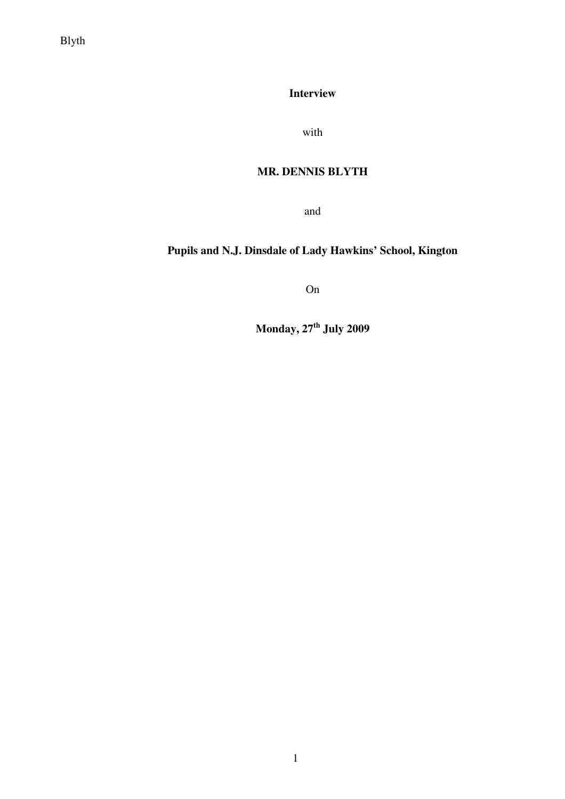Blyth

**Interview** 

with

# **MR. DENNIS BLYTH**

and

# **Pupils and N.J. Dinsdale of Lady Hawkins' School, Kington**

On

**Monday, 27th July 2009**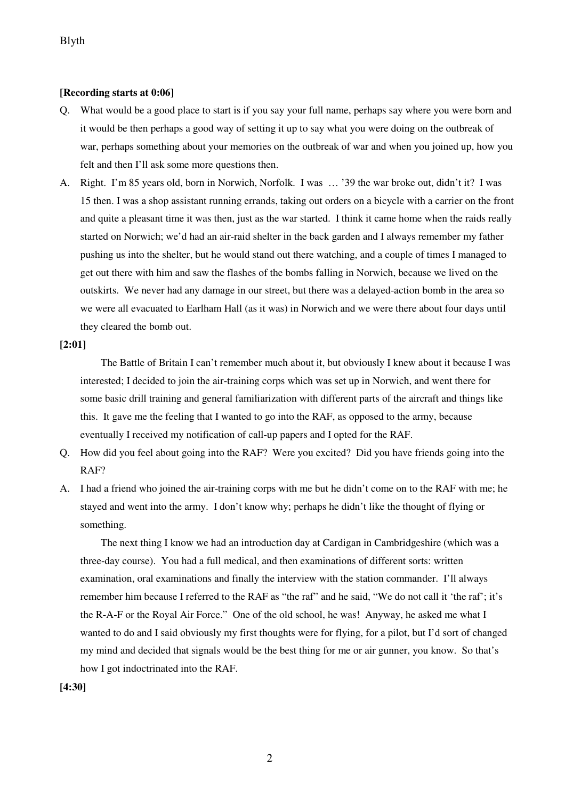#### **[Recording starts at 0:06]**

- Q. What would be a good place to start is if you say your full name, perhaps say where you were born and it would be then perhaps a good way of setting it up to say what you were doing on the outbreak of war, perhaps something about your memories on the outbreak of war and when you joined up, how you felt and then I'll ask some more questions then.
- A. Right. I'm 85 years old, born in Norwich, Norfolk. I was … '39 the war broke out, didn't it? I was 15 then. I was a shop assistant running errands, taking out orders on a bicycle with a carrier on the front and quite a pleasant time it was then, just as the war started. I think it came home when the raids really started on Norwich; we'd had an air-raid shelter in the back garden and I always remember my father pushing us into the shelter, but he would stand out there watching, and a couple of times I managed to get out there with him and saw the flashes of the bombs falling in Norwich, because we lived on the outskirts. We never had any damage in our street, but there was a delayed-action bomb in the area so we were all evacuated to Earlham Hall (as it was) in Norwich and we were there about four days until they cleared the bomb out.

#### **[2:01]**

The Battle of Britain I can't remember much about it, but obviously I knew about it because I was interested; I decided to join the air-training corps which was set up in Norwich, and went there for some basic drill training and general familiarization with different parts of the aircraft and things like this. It gave me the feeling that I wanted to go into the RAF, as opposed to the army, because eventually I received my notification of call-up papers and I opted for the RAF.

- Q. How did you feel about going into the RAF? Were you excited? Did you have friends going into the RAF?
- A. I had a friend who joined the air-training corps with me but he didn't come on to the RAF with me; he stayed and went into the army. I don't know why; perhaps he didn't like the thought of flying or something.

 The next thing I know we had an introduction day at Cardigan in Cambridgeshire (which was a three-day course). You had a full medical, and then examinations of different sorts: written examination, oral examinations and finally the interview with the station commander. I'll always remember him because I referred to the RAF as "the raf" and he said, "We do not call it 'the raf'; it's the R-A-F or the Royal Air Force." One of the old school, he was! Anyway, he asked me what I wanted to do and I said obviously my first thoughts were for flying, for a pilot, but I'd sort of changed my mind and decided that signals would be the best thing for me or air gunner, you know. So that's how I got indoctrinated into the RAF.

#### **[4:30]**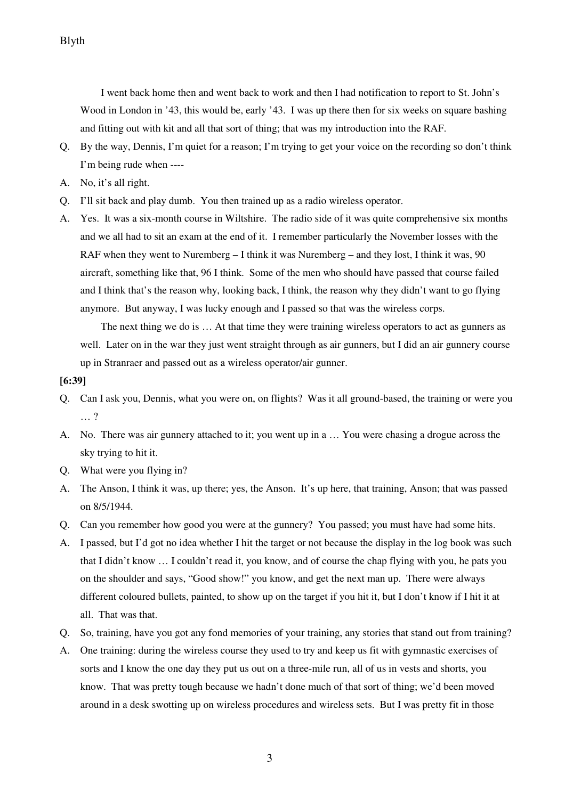I went back home then and went back to work and then I had notification to report to St. John's Wood in London in '43, this would be, early '43. I was up there then for six weeks on square bashing and fitting out with kit and all that sort of thing; that was my introduction into the RAF.

- Q. By the way, Dennis, I'm quiet for a reason; I'm trying to get your voice on the recording so don't think I'm being rude when ----
- A. No, it's all right.
- Q. I'll sit back and play dumb. You then trained up as a radio wireless operator.
- A. Yes. It was a six-month course in Wiltshire. The radio side of it was quite comprehensive six months and we all had to sit an exam at the end of it. I remember particularly the November losses with the RAF when they went to Nuremberg – I think it was Nuremberg – and they lost, I think it was, 90 aircraft, something like that, 96 I think. Some of the men who should have passed that course failed and I think that's the reason why, looking back, I think, the reason why they didn't want to go flying anymore. But anyway, I was lucky enough and I passed so that was the wireless corps.

 The next thing we do is … At that time they were training wireless operators to act as gunners as well. Later on in the war they just went straight through as air gunners, but I did an air gunnery course up in Stranraer and passed out as a wireless operator/air gunner.

#### **[6:39]**

- Q. Can I ask you, Dennis, what you were on, on flights? Was it all ground-based, the training or were you … ?
- A. No. There was air gunnery attached to it; you went up in a … You were chasing a drogue across the sky trying to hit it.
- Q. What were you flying in?
- A. The Anson, I think it was, up there; yes, the Anson. It's up here, that training, Anson; that was passed on 8/5/1944.
- Q. Can you remember how good you were at the gunnery? You passed; you must have had some hits.
- A. I passed, but I'd got no idea whether I hit the target or not because the display in the log book was such that I didn't know … I couldn't read it, you know, and of course the chap flying with you, he pats you on the shoulder and says, "Good show!" you know, and get the next man up. There were always different coloured bullets, painted, to show up on the target if you hit it, but I don't know if I hit it at all. That was that.
- Q. So, training, have you got any fond memories of your training, any stories that stand out from training?
- A. One training: during the wireless course they used to try and keep us fit with gymnastic exercises of sorts and I know the one day they put us out on a three-mile run, all of us in vests and shorts, you know. That was pretty tough because we hadn't done much of that sort of thing; we'd been moved around in a desk swotting up on wireless procedures and wireless sets. But I was pretty fit in those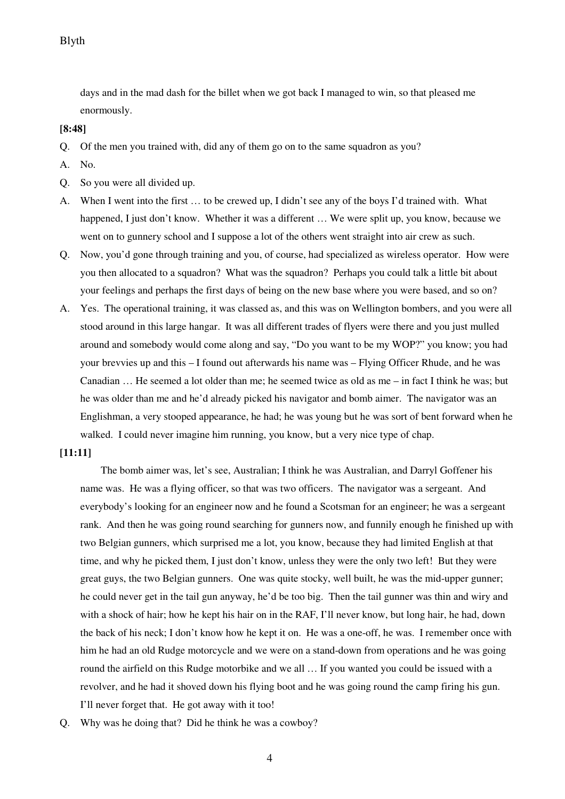days and in the mad dash for the billet when we got back I managed to win, so that pleased me enormously.

#### **[8:48]**

- Q. Of the men you trained with, did any of them go on to the same squadron as you?
- A. No.
- Q. So you were all divided up.
- A. When I went into the first … to be crewed up, I didn't see any of the boys I'd trained with. What happened, I just don't know. Whether it was a different ... We were split up, you know, because we went on to gunnery school and I suppose a lot of the others went straight into air crew as such.
- Q. Now, you'd gone through training and you, of course, had specialized as wireless operator. How were you then allocated to a squadron? What was the squadron? Perhaps you could talk a little bit about your feelings and perhaps the first days of being on the new base where you were based, and so on?
- A. Yes. The operational training, it was classed as, and this was on Wellington bombers, and you were all stood around in this large hangar. It was all different trades of flyers were there and you just mulled around and somebody would come along and say, "Do you want to be my WOP?" you know; you had your brevvies up and this – I found out afterwards his name was – Flying Officer Rhude, and he was Canadian … He seemed a lot older than me; he seemed twice as old as me – in fact I think he was; but he was older than me and he'd already picked his navigator and bomb aimer. The navigator was an Englishman, a very stooped appearance, he had; he was young but he was sort of bent forward when he walked. I could never imagine him running, you know, but a very nice type of chap.

#### **[11:11]**

The bomb aimer was, let's see, Australian; I think he was Australian, and Darryl Goffener his name was. He was a flying officer, so that was two officers. The navigator was a sergeant. And everybody's looking for an engineer now and he found a Scotsman for an engineer; he was a sergeant rank. And then he was going round searching for gunners now, and funnily enough he finished up with two Belgian gunners, which surprised me a lot, you know, because they had limited English at that time, and why he picked them, I just don't know, unless they were the only two left! But they were great guys, the two Belgian gunners. One was quite stocky, well built, he was the mid-upper gunner; he could never get in the tail gun anyway, he'd be too big. Then the tail gunner was thin and wiry and with a shock of hair; how he kept his hair on in the RAF, I'll never know, but long hair, he had, down the back of his neck; I don't know how he kept it on. He was a one-off, he was. I remember once with him he had an old Rudge motorcycle and we were on a stand-down from operations and he was going round the airfield on this Rudge motorbike and we all … If you wanted you could be issued with a revolver, and he had it shoved down his flying boot and he was going round the camp firing his gun. I'll never forget that. He got away with it too!

Q. Why was he doing that? Did he think he was a cowboy?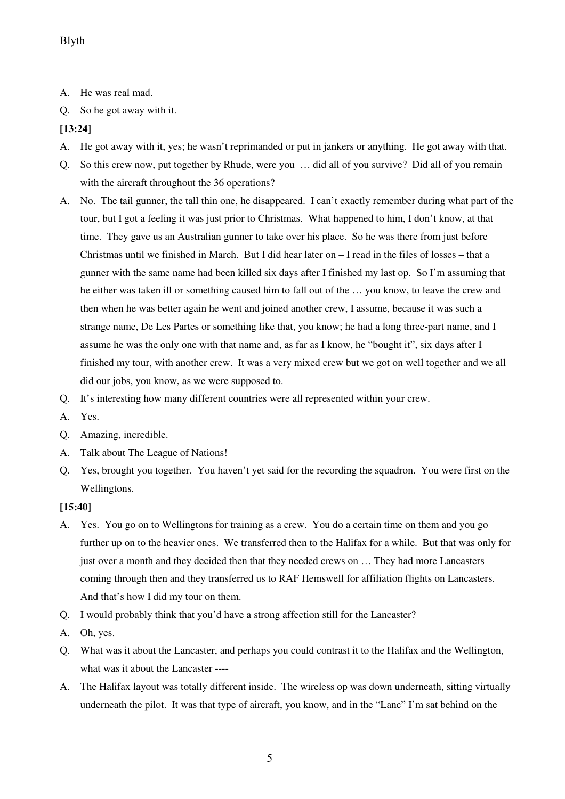- A. He was real mad.
- Q. So he got away with it.

## **[13:24]**

- A. He got away with it, yes; he wasn't reprimanded or put in jankers or anything. He got away with that.
- Q. So this crew now, put together by Rhude, were you … did all of you survive? Did all of you remain with the aircraft throughout the 36 operations?
- A. No. The tail gunner, the tall thin one, he disappeared. I can't exactly remember during what part of the tour, but I got a feeling it was just prior to Christmas. What happened to him, I don't know, at that time. They gave us an Australian gunner to take over his place. So he was there from just before Christmas until we finished in March. But I did hear later on – I read in the files of losses – that a gunner with the same name had been killed six days after I finished my last op. So I'm assuming that he either was taken ill or something caused him to fall out of the … you know, to leave the crew and then when he was better again he went and joined another crew, I assume, because it was such a strange name, De Les Partes or something like that, you know; he had a long three-part name, and I assume he was the only one with that name and, as far as I know, he "bought it", six days after I finished my tour, with another crew. It was a very mixed crew but we got on well together and we all did our jobs, you know, as we were supposed to.
- Q. It's interesting how many different countries were all represented within your crew.
- A. Yes.
- Q. Amazing, incredible.
- A. Talk about The League of Nations!
- Q. Yes, brought you together. You haven't yet said for the recording the squadron. You were first on the Wellingtons.

## **[15:40]**

- A. Yes. You go on to Wellingtons for training as a crew. You do a certain time on them and you go further up on to the heavier ones. We transferred then to the Halifax for a while. But that was only for just over a month and they decided then that they needed crews on … They had more Lancasters coming through then and they transferred us to RAF Hemswell for affiliation flights on Lancasters. And that's how I did my tour on them.
- Q. I would probably think that you'd have a strong affection still for the Lancaster?
- A. Oh, yes.
- Q. What was it about the Lancaster, and perhaps you could contrast it to the Halifax and the Wellington, what was it about the Lancaster ----
- A. The Halifax layout was totally different inside. The wireless op was down underneath, sitting virtually underneath the pilot. It was that type of aircraft, you know, and in the "Lanc" I'm sat behind on the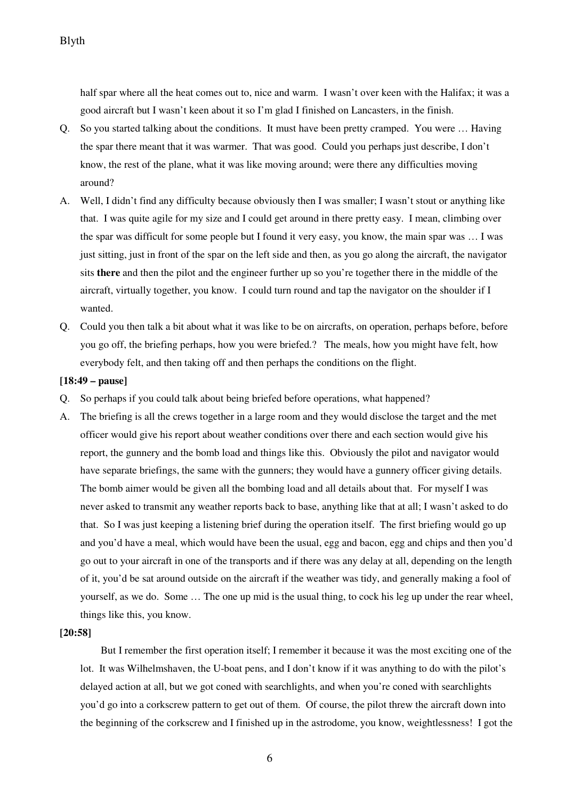half spar where all the heat comes out to, nice and warm. I wasn't over keen with the Halifax; it was a good aircraft but I wasn't keen about it so I'm glad I finished on Lancasters, in the finish.

- Q. So you started talking about the conditions. It must have been pretty cramped. You were … Having the spar there meant that it was warmer. That was good. Could you perhaps just describe, I don't know, the rest of the plane, what it was like moving around; were there any difficulties moving around?
- A. Well, I didn't find any difficulty because obviously then I was smaller; I wasn't stout or anything like that. I was quite agile for my size and I could get around in there pretty easy. I mean, climbing over the spar was difficult for some people but I found it very easy, you know, the main spar was … I was just sitting, just in front of the spar on the left side and then, as you go along the aircraft, the navigator sits **there** and then the pilot and the engineer further up so you're together there in the middle of the aircraft, virtually together, you know. I could turn round and tap the navigator on the shoulder if I wanted.
- Q. Could you then talk a bit about what it was like to be on aircrafts, on operation, perhaps before, before you go off, the briefing perhaps, how you were briefed.? The meals, how you might have felt, how everybody felt, and then taking off and then perhaps the conditions on the flight.

#### **[18:49 – pause]**

- Q. So perhaps if you could talk about being briefed before operations, what happened?
- A. The briefing is all the crews together in a large room and they would disclose the target and the met officer would give his report about weather conditions over there and each section would give his report, the gunnery and the bomb load and things like this. Obviously the pilot and navigator would have separate briefings, the same with the gunners; they would have a gunnery officer giving details. The bomb aimer would be given all the bombing load and all details about that. For myself I was never asked to transmit any weather reports back to base, anything like that at all; I wasn't asked to do that. So I was just keeping a listening brief during the operation itself. The first briefing would go up and you'd have a meal, which would have been the usual, egg and bacon, egg and chips and then you'd go out to your aircraft in one of the transports and if there was any delay at all, depending on the length of it, you'd be sat around outside on the aircraft if the weather was tidy, and generally making a fool of yourself, as we do. Some … The one up mid is the usual thing, to cock his leg up under the rear wheel, things like this, you know.

#### **[20:58]**

 But I remember the first operation itself; I remember it because it was the most exciting one of the lot. It was Wilhelmshaven, the U-boat pens, and I don't know if it was anything to do with the pilot's delayed action at all, but we got coned with searchlights, and when you're coned with searchlights you'd go into a corkscrew pattern to get out of them. Of course, the pilot threw the aircraft down into the beginning of the corkscrew and I finished up in the astrodome, you know, weightlessness! I got the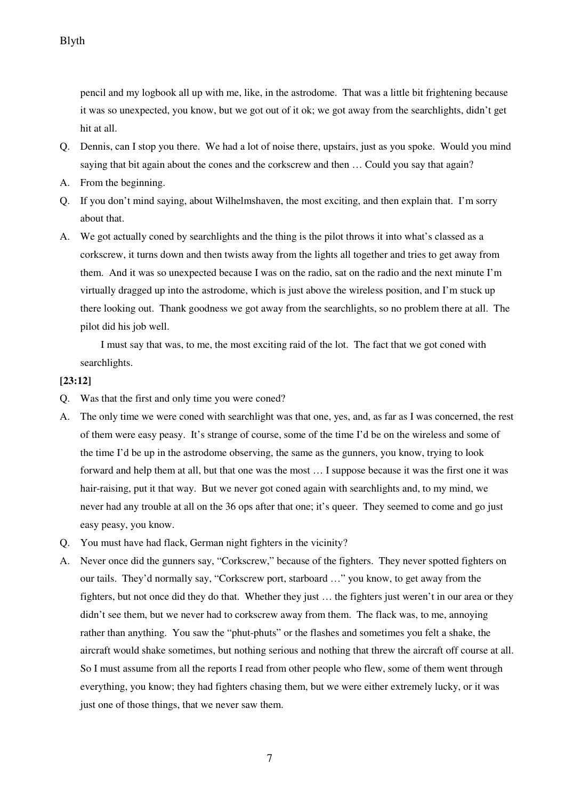pencil and my logbook all up with me, like, in the astrodome. That was a little bit frightening because it was so unexpected, you know, but we got out of it ok; we got away from the searchlights, didn't get hit at all.

- Q. Dennis, can I stop you there. We had a lot of noise there, upstairs, just as you spoke. Would you mind saying that bit again about the cones and the corkscrew and then ... Could you say that again?
- A. From the beginning.
- Q. If you don't mind saying, about Wilhelmshaven, the most exciting, and then explain that. I'm sorry about that.
- A. We got actually coned by searchlights and the thing is the pilot throws it into what's classed as a corkscrew, it turns down and then twists away from the lights all together and tries to get away from them. And it was so unexpected because I was on the radio, sat on the radio and the next minute I'm virtually dragged up into the astrodome, which is just above the wireless position, and I'm stuck up there looking out. Thank goodness we got away from the searchlights, so no problem there at all. The pilot did his job well.

 I must say that was, to me, the most exciting raid of the lot. The fact that we got coned with searchlights.

## **[23:12]**

- Q. Was that the first and only time you were coned?
- A. The only time we were coned with searchlight was that one, yes, and, as far as I was concerned, the rest of them were easy peasy. It's strange of course, some of the time I'd be on the wireless and some of the time I'd be up in the astrodome observing, the same as the gunners, you know, trying to look forward and help them at all, but that one was the most … I suppose because it was the first one it was hair-raising, put it that way. But we never got coned again with searchlights and, to my mind, we never had any trouble at all on the 36 ops after that one; it's queer. They seemed to come and go just easy peasy, you know.
- Q. You must have had flack, German night fighters in the vicinity?
- A. Never once did the gunners say, "Corkscrew," because of the fighters. They never spotted fighters on our tails. They'd normally say, "Corkscrew port, starboard …" you know, to get away from the fighters, but not once did they do that. Whether they just … the fighters just weren't in our area or they didn't see them, but we never had to corkscrew away from them. The flack was, to me, annoying rather than anything. You saw the "phut-phuts" or the flashes and sometimes you felt a shake, the aircraft would shake sometimes, but nothing serious and nothing that threw the aircraft off course at all. So I must assume from all the reports I read from other people who flew, some of them went through everything, you know; they had fighters chasing them, but we were either extremely lucky, or it was just one of those things, that we never saw them.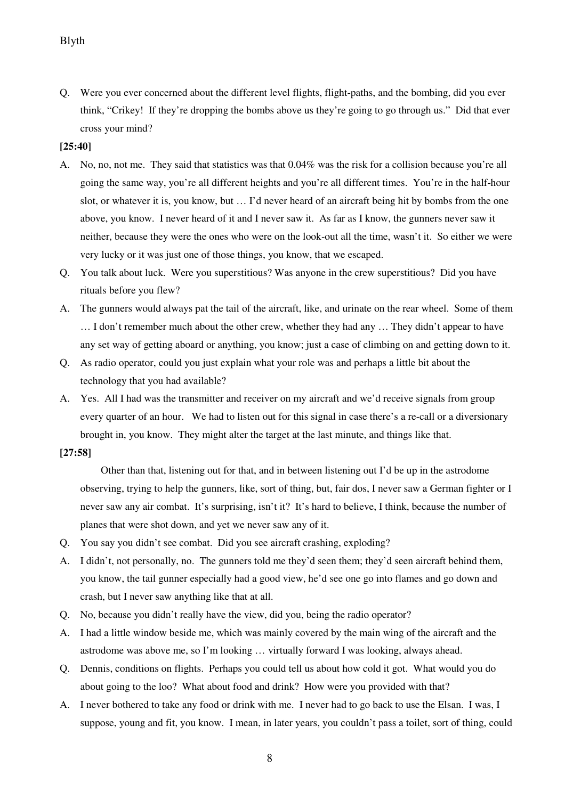Q. Were you ever concerned about the different level flights, flight-paths, and the bombing, did you ever think, "Crikey! If they're dropping the bombs above us they're going to go through us." Did that ever cross your mind?

## **[25:40]**

- A. No, no, not me. They said that statistics was that 0.04% was the risk for a collision because you're all going the same way, you're all different heights and you're all different times. You're in the half-hour slot, or whatever it is, you know, but … I'd never heard of an aircraft being hit by bombs from the one above, you know. I never heard of it and I never saw it. As far as I know, the gunners never saw it neither, because they were the ones who were on the look-out all the time, wasn't it. So either we were very lucky or it was just one of those things, you know, that we escaped.
- Q. You talk about luck. Were you superstitious? Was anyone in the crew superstitious? Did you have rituals before you flew?
- A. The gunners would always pat the tail of the aircraft, like, and urinate on the rear wheel. Some of them … I don't remember much about the other crew, whether they had any … They didn't appear to have any set way of getting aboard or anything, you know; just a case of climbing on and getting down to it.
- Q. As radio operator, could you just explain what your role was and perhaps a little bit about the technology that you had available?
- A. Yes. All I had was the transmitter and receiver on my aircraft and we'd receive signals from group every quarter of an hour. We had to listen out for this signal in case there's a re-call or a diversionary brought in, you know. They might alter the target at the last minute, and things like that.

### **[27:58]**

Other than that, listening out for that, and in between listening out I'd be up in the astrodome observing, trying to help the gunners, like, sort of thing, but, fair dos, I never saw a German fighter or I never saw any air combat. It's surprising, isn't it? It's hard to believe, I think, because the number of planes that were shot down, and yet we never saw any of it.

- Q. You say you didn't see combat. Did you see aircraft crashing, exploding?
- A. I didn't, not personally, no. The gunners told me they'd seen them; they'd seen aircraft behind them, you know, the tail gunner especially had a good view, he'd see one go into flames and go down and crash, but I never saw anything like that at all.
- Q. No, because you didn't really have the view, did you, being the radio operator?
- A. I had a little window beside me, which was mainly covered by the main wing of the aircraft and the astrodome was above me, so I'm looking … virtually forward I was looking, always ahead.
- Q. Dennis, conditions on flights. Perhaps you could tell us about how cold it got. What would you do about going to the loo? What about food and drink? How were you provided with that?
- A. I never bothered to take any food or drink with me. I never had to go back to use the Elsan. I was, I suppose, young and fit, you know. I mean, in later years, you couldn't pass a toilet, sort of thing, could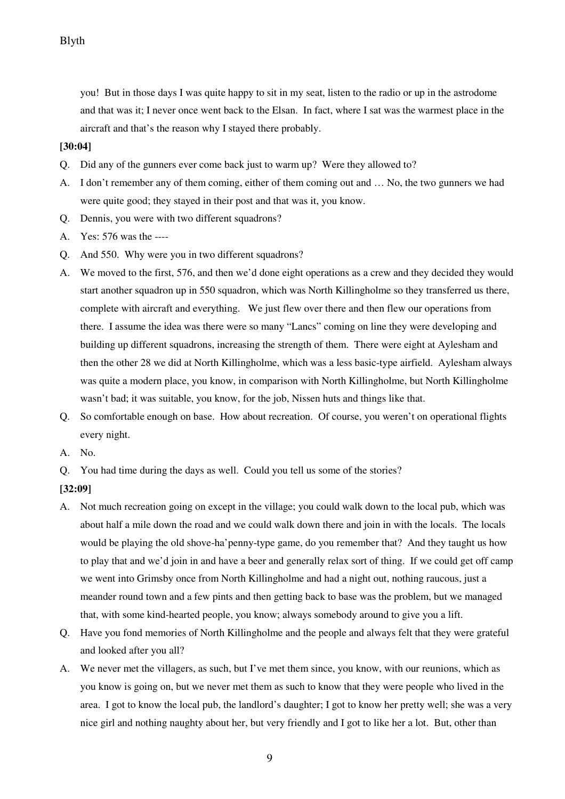you! But in those days I was quite happy to sit in my seat, listen to the radio or up in the astrodome and that was it; I never once went back to the Elsan. In fact, where I sat was the warmest place in the aircraft and that's the reason why I stayed there probably.

## **[30:04]**

- Q. Did any of the gunners ever come back just to warm up? Were they allowed to?
- A. I don't remember any of them coming, either of them coming out and … No, the two gunners we had were quite good; they stayed in their post and that was it, you know.
- Q. Dennis, you were with two different squadrons?
- A. Yes: 576 was the ----
- Q. And 550. Why were you in two different squadrons?
- A. We moved to the first, 576, and then we'd done eight operations as a crew and they decided they would start another squadron up in 550 squadron, which was North Killingholme so they transferred us there, complete with aircraft and everything. We just flew over there and then flew our operations from there. I assume the idea was there were so many "Lancs" coming on line they were developing and building up different squadrons, increasing the strength of them. There were eight at Aylesham and then the other 28 we did at North Killingholme, which was a less basic-type airfield. Aylesham always was quite a modern place, you know, in comparison with North Killingholme, but North Killingholme wasn't bad; it was suitable, you know, for the job, Nissen huts and things like that.
- Q. So comfortable enough on base. How about recreation. Of course, you weren't on operational flights every night.
- A. No.
- Q. You had time during the days as well. Could you tell us some of the stories?
- **[32:09]**
- A. Not much recreation going on except in the village; you could walk down to the local pub, which was about half a mile down the road and we could walk down there and join in with the locals. The locals would be playing the old shove-ha'penny-type game, do you remember that? And they taught us how to play that and we'd join in and have a beer and generally relax sort of thing. If we could get off camp we went into Grimsby once from North Killingholme and had a night out, nothing raucous, just a meander round town and a few pints and then getting back to base was the problem, but we managed that, with some kind-hearted people, you know; always somebody around to give you a lift.
- Q. Have you fond memories of North Killingholme and the people and always felt that they were grateful and looked after you all?
- A. We never met the villagers, as such, but I've met them since, you know, with our reunions, which as you know is going on, but we never met them as such to know that they were people who lived in the area. I got to know the local pub, the landlord's daughter; I got to know her pretty well; she was a very nice girl and nothing naughty about her, but very friendly and I got to like her a lot. But, other than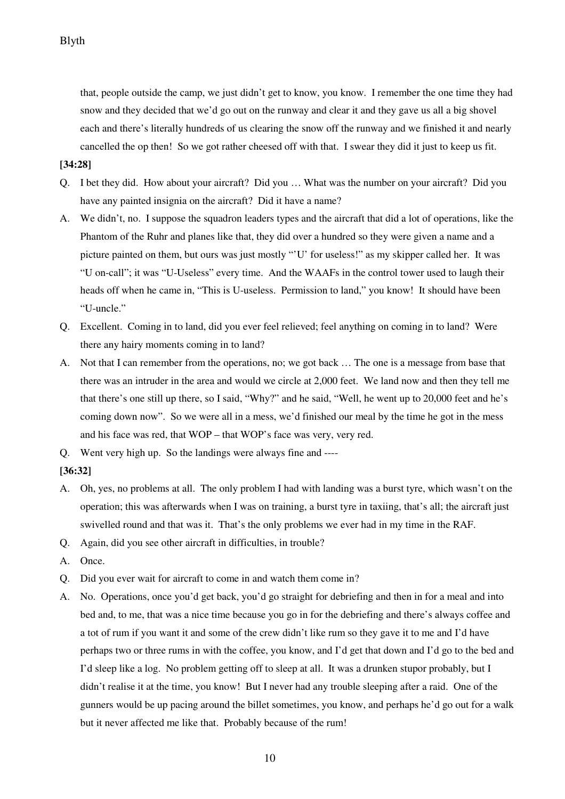that, people outside the camp, we just didn't get to know, you know. I remember the one time they had snow and they decided that we'd go out on the runway and clear it and they gave us all a big shovel each and there's literally hundreds of us clearing the snow off the runway and we finished it and nearly cancelled the op then! So we got rather cheesed off with that. I swear they did it just to keep us fit.

## **[34:28]**

- Q. I bet they did. How about your aircraft? Did you … What was the number on your aircraft? Did you have any painted insignia on the aircraft? Did it have a name?
- A. We didn't, no. I suppose the squadron leaders types and the aircraft that did a lot of operations, like the Phantom of the Ruhr and planes like that, they did over a hundred so they were given a name and a picture painted on them, but ours was just mostly "'U' for useless!" as my skipper called her. It was "U on-call"; it was "U-Useless" every time. And the WAAFs in the control tower used to laugh their heads off when he came in, "This is U-useless. Permission to land," you know! It should have been "U-uncle."
- Q. Excellent. Coming in to land, did you ever feel relieved; feel anything on coming in to land? Were there any hairy moments coming in to land?
- A. Not that I can remember from the operations, no; we got back … The one is a message from base that there was an intruder in the area and would we circle at 2,000 feet. We land now and then they tell me that there's one still up there, so I said, "Why?" and he said, "Well, he went up to 20,000 feet and he's coming down now". So we were all in a mess, we'd finished our meal by the time he got in the mess and his face was red, that WOP – that WOP's face was very, very red.
- Q. Went very high up. So the landings were always fine and ----

## **[36:32]**

- A. Oh, yes, no problems at all. The only problem I had with landing was a burst tyre, which wasn't on the operation; this was afterwards when I was on training, a burst tyre in taxiing, that's all; the aircraft just swivelled round and that was it. That's the only problems we ever had in my time in the RAF.
- Q. Again, did you see other aircraft in difficulties, in trouble?
- A. Once.
- Q. Did you ever wait for aircraft to come in and watch them come in?
- A. No. Operations, once you'd get back, you'd go straight for debriefing and then in for a meal and into bed and, to me, that was a nice time because you go in for the debriefing and there's always coffee and a tot of rum if you want it and some of the crew didn't like rum so they gave it to me and I'd have perhaps two or three rums in with the coffee, you know, and I'd get that down and I'd go to the bed and I'd sleep like a log. No problem getting off to sleep at all. It was a drunken stupor probably, but I didn't realise it at the time, you know! But I never had any trouble sleeping after a raid. One of the gunners would be up pacing around the billet sometimes, you know, and perhaps he'd go out for a walk but it never affected me like that. Probably because of the rum!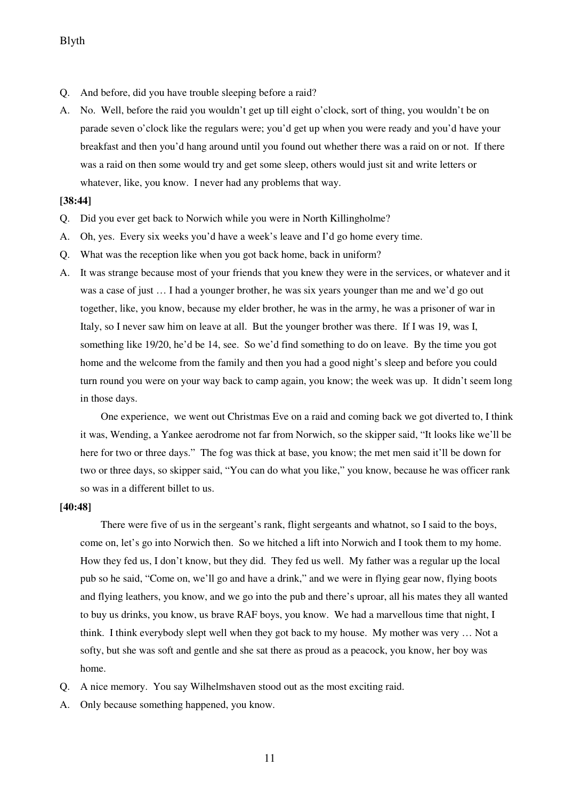- Q. And before, did you have trouble sleeping before a raid?
- A. No. Well, before the raid you wouldn't get up till eight o'clock, sort of thing, you wouldn't be on parade seven o'clock like the regulars were; you'd get up when you were ready and you'd have your breakfast and then you'd hang around until you found out whether there was a raid on or not. If there was a raid on then some would try and get some sleep, others would just sit and write letters or whatever, like, you know. I never had any problems that way.

#### **[38:44]**

- Q. Did you ever get back to Norwich while you were in North Killingholme?
- A. Oh, yes. Every six weeks you'd have a week's leave and I'd go home every time.
- Q. What was the reception like when you got back home, back in uniform?
- A. It was strange because most of your friends that you knew they were in the services, or whatever and it was a case of just … I had a younger brother, he was six years younger than me and we'd go out together, like, you know, because my elder brother, he was in the army, he was a prisoner of war in Italy, so I never saw him on leave at all. But the younger brother was there. If I was 19, was I, something like 19/20, he'd be 14, see. So we'd find something to do on leave. By the time you got home and the welcome from the family and then you had a good night's sleep and before you could turn round you were on your way back to camp again, you know; the week was up. It didn't seem long in those days.

 One experience, we went out Christmas Eve on a raid and coming back we got diverted to, I think it was, Wending, a Yankee aerodrome not far from Norwich, so the skipper said, "It looks like we'll be here for two or three days." The fog was thick at base, you know; the met men said it'll be down for two or three days, so skipper said, "You can do what you like," you know, because he was officer rank so was in a different billet to us.

#### **[40:48]**

There were five of us in the sergeant's rank, flight sergeants and whatnot, so I said to the boys, come on, let's go into Norwich then. So we hitched a lift into Norwich and I took them to my home. How they fed us, I don't know, but they did. They fed us well. My father was a regular up the local pub so he said, "Come on, we'll go and have a drink," and we were in flying gear now, flying boots and flying leathers, you know, and we go into the pub and there's uproar, all his mates they all wanted to buy us drinks, you know, us brave RAF boys, you know. We had a marvellous time that night, I think. I think everybody slept well when they got back to my house. My mother was very … Not a softy, but she was soft and gentle and she sat there as proud as a peacock, you know, her boy was home.

- Q. A nice memory. You say Wilhelmshaven stood out as the most exciting raid.
- A. Only because something happened, you know.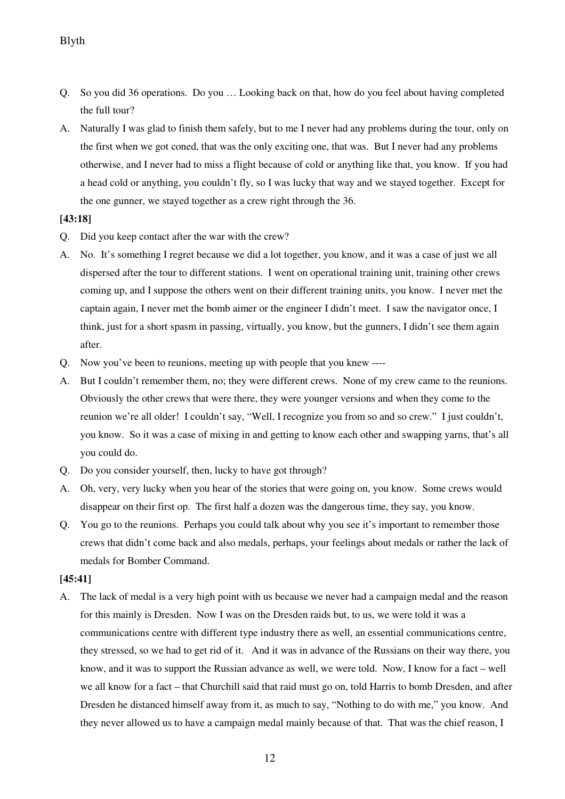- Q. So you did 36 operations. Do you … Looking back on that, how do you feel about having completed the full tour?
- A. Naturally I was glad to finish them safely, but to me I never had any problems during the tour, only on the first when we got coned, that was the only exciting one, that was. But I never had any problems otherwise, and I never had to miss a flight because of cold or anything like that, you know. If you had a head cold or anything, you couldn't fly, so I was lucky that way and we stayed together. Except for the one gunner, we stayed together as a crew right through the 36.

### **[43:18]**

- Q. Did you keep contact after the war with the crew?
- A. No. It's something I regret because we did a lot together, you know, and it was a case of just we all dispersed after the tour to different stations. I went on operational training unit, training other crews coming up, and I suppose the others went on their different training units, you know. I never met the captain again, I never met the bomb aimer or the engineer I didn't meet. I saw the navigator once, I think, just for a short spasm in passing, virtually, you know, but the gunners, I didn't see them again after.
- Q. Now you've been to reunions, meeting up with people that you knew ----
- A. But I couldn't remember them, no; they were different crews. None of my crew came to the reunions. Obviously the other crews that were there, they were younger versions and when they come to the reunion we're all older! I couldn't say, "Well, I recognize you from so and so crew." I just couldn't, you know. So it was a case of mixing in and getting to know each other and swapping yarns, that's all you could do.
- Q. Do you consider yourself, then, lucky to have got through?
- A. Oh, very, very lucky when you hear of the stories that were going on, you know. Some crews would disappear on their first op. The first half a dozen was the dangerous time, they say, you know.
- Q. You go to the reunions. Perhaps you could talk about why you see it's important to remember those crews that didn't come back and also medals, perhaps, your feelings about medals or rather the lack of medals for Bomber Command.

### **[45:41]**

A. The lack of medal is a very high point with us because we never had a campaign medal and the reason for this mainly is Dresden. Now I was on the Dresden raids but, to us, we were told it was a communications centre with different type industry there as well, an essential communications centre, they stressed, so we had to get rid of it. And it was in advance of the Russians on their way there, you know, and it was to support the Russian advance as well, we were told. Now, I know for a fact – well we all know for a fact – that Churchill said that raid must go on, told Harris to bomb Dresden, and after Dresden he distanced himself away from it, as much to say, "Nothing to do with me," you know. And they never allowed us to have a campaign medal mainly because of that. That was the chief reason, I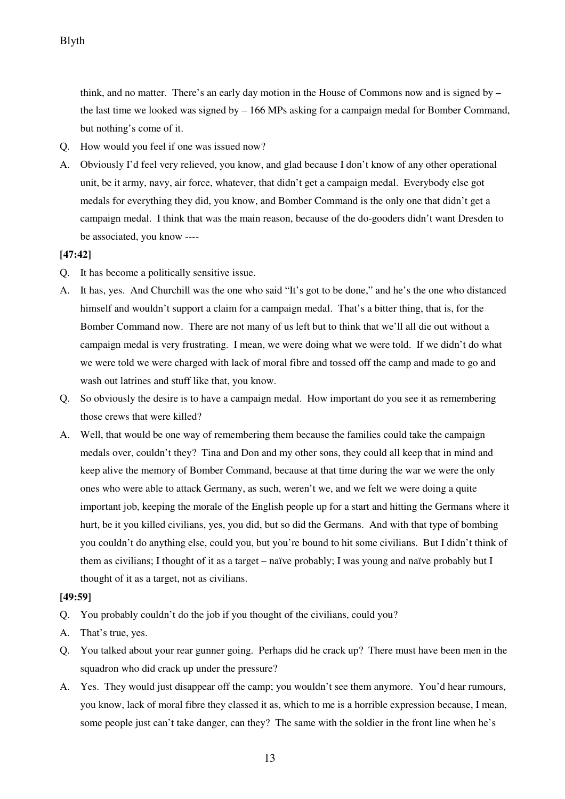think, and no matter. There's an early day motion in the House of Commons now and is signed by – the last time we looked was signed by – 166 MPs asking for a campaign medal for Bomber Command, but nothing's come of it.

- Q. How would you feel if one was issued now?
- A. Obviously I'd feel very relieved, you know, and glad because I don't know of any other operational unit, be it army, navy, air force, whatever, that didn't get a campaign medal. Everybody else got medals for everything they did, you know, and Bomber Command is the only one that didn't get a campaign medal. I think that was the main reason, because of the do-gooders didn't want Dresden to be associated, you know ----

## **[47:42]**

- Q. It has become a politically sensitive issue.
- A. It has, yes. And Churchill was the one who said "It's got to be done," and he's the one who distanced himself and wouldn't support a claim for a campaign medal. That's a bitter thing, that is, for the Bomber Command now. There are not many of us left but to think that we'll all die out without a campaign medal is very frustrating. I mean, we were doing what we were told. If we didn't do what we were told we were charged with lack of moral fibre and tossed off the camp and made to go and wash out latrines and stuff like that, you know.
- Q. So obviously the desire is to have a campaign medal. How important do you see it as remembering those crews that were killed?
- A. Well, that would be one way of remembering them because the families could take the campaign medals over, couldn't they? Tina and Don and my other sons, they could all keep that in mind and keep alive the memory of Bomber Command, because at that time during the war we were the only ones who were able to attack Germany, as such, weren't we, and we felt we were doing a quite important job, keeping the morale of the English people up for a start and hitting the Germans where it hurt, be it you killed civilians, yes, you did, but so did the Germans. And with that type of bombing you couldn't do anything else, could you, but you're bound to hit some civilians. But I didn't think of them as civilians; I thought of it as a target – naïve probably; I was young and naïve probably but I thought of it as a target, not as civilians.

### **[49:59]**

- Q. You probably couldn't do the job if you thought of the civilians, could you?
- A. That's true, yes.
- Q. You talked about your rear gunner going. Perhaps did he crack up? There must have been men in the squadron who did crack up under the pressure?
- A. Yes. They would just disappear off the camp; you wouldn't see them anymore. You'd hear rumours, you know, lack of moral fibre they classed it as, which to me is a horrible expression because, I mean, some people just can't take danger, can they? The same with the soldier in the front line when he's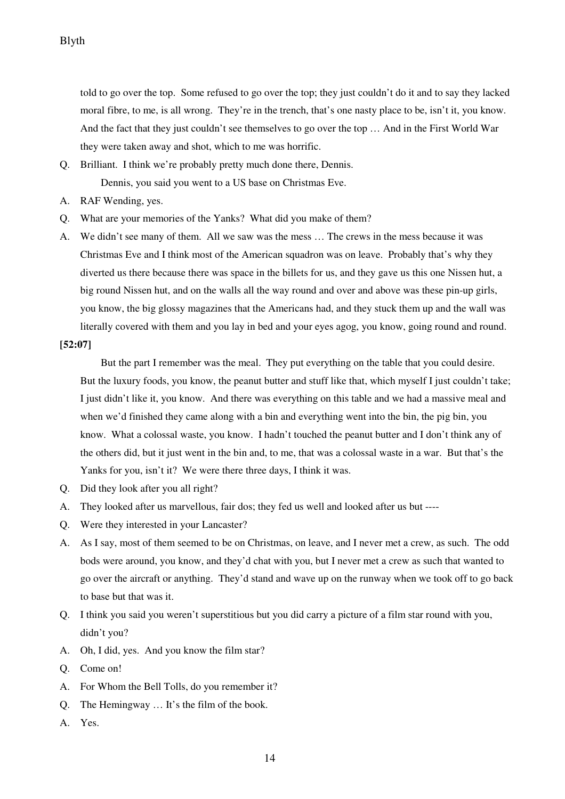told to go over the top. Some refused to go over the top; they just couldn't do it and to say they lacked moral fibre, to me, is all wrong. They're in the trench, that's one nasty place to be, isn't it, you know. And the fact that they just couldn't see themselves to go over the top … And in the First World War they were taken away and shot, which to me was horrific.

- Q. Brilliant. I think we're probably pretty much done there, Dennis. Dennis, you said you went to a US base on Christmas Eve.
- A. RAF Wending, yes.
- Q. What are your memories of the Yanks? What did you make of them?
- A. We didn't see many of them. All we saw was the mess … The crews in the mess because it was Christmas Eve and I think most of the American squadron was on leave. Probably that's why they diverted us there because there was space in the billets for us, and they gave us this one Nissen hut, a big round Nissen hut, and on the walls all the way round and over and above was these pin-up girls, you know, the big glossy magazines that the Americans had, and they stuck them up and the wall was literally covered with them and you lay in bed and your eyes agog, you know, going round and round.

### **[52:07]**

 But the part I remember was the meal. They put everything on the table that you could desire. But the luxury foods, you know, the peanut butter and stuff like that, which myself I just couldn't take; I just didn't like it, you know. And there was everything on this table and we had a massive meal and when we'd finished they came along with a bin and everything went into the bin, the pig bin, you know. What a colossal waste, you know. I hadn't touched the peanut butter and I don't think any of the others did, but it just went in the bin and, to me, that was a colossal waste in a war. But that's the Yanks for you, isn't it? We were there three days, I think it was.

- Q. Did they look after you all right?
- A. They looked after us marvellous, fair dos; they fed us well and looked after us but ----
- Q. Were they interested in your Lancaster?
- A. As I say, most of them seemed to be on Christmas, on leave, and I never met a crew, as such. The odd bods were around, you know, and they'd chat with you, but I never met a crew as such that wanted to go over the aircraft or anything. They'd stand and wave up on the runway when we took off to go back to base but that was it.
- Q. I think you said you weren't superstitious but you did carry a picture of a film star round with you, didn't you?
- A. Oh, I did, yes. And you know the film star?
- Q. Come on!
- A. For Whom the Bell Tolls, do you remember it?
- Q. The Hemingway … It's the film of the book.
- A. Yes.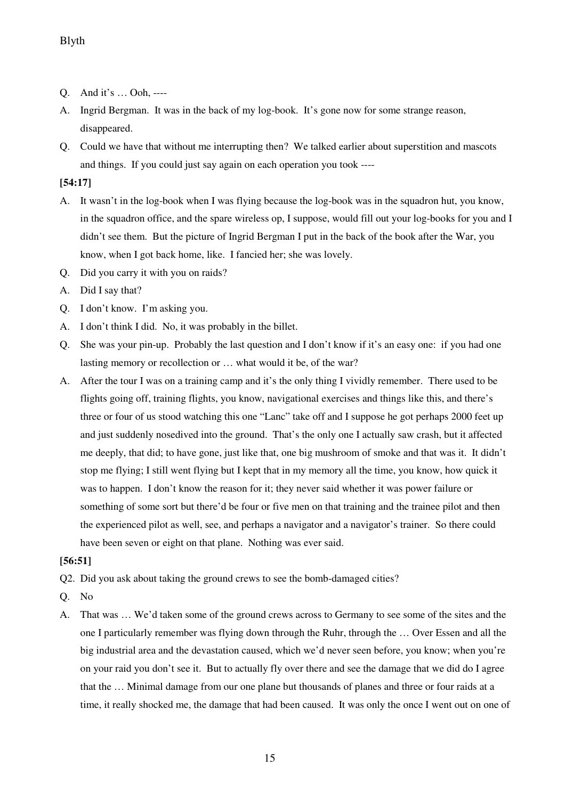- Q. And it's … Ooh, ----
- A. Ingrid Bergman. It was in the back of my log-book. It's gone now for some strange reason, disappeared.
- Q. Could we have that without me interrupting then? We talked earlier about superstition and mascots and things. If you could just say again on each operation you took ----

# **[54:17]**

- A. It wasn't in the log-book when I was flying because the log-book was in the squadron hut, you know, in the squadron office, and the spare wireless op, I suppose, would fill out your log-books for you and I didn't see them. But the picture of Ingrid Bergman I put in the back of the book after the War, you know, when I got back home, like. I fancied her; she was lovely.
- Q. Did you carry it with you on raids?
- A. Did I say that?
- Q. I don't know. I'm asking you.
- A. I don't think I did. No, it was probably in the billet.
- Q. She was your pin-up. Probably the last question and I don't know if it's an easy one: if you had one lasting memory or recollection or … what would it be, of the war?
- A. After the tour I was on a training camp and it's the only thing I vividly remember. There used to be flights going off, training flights, you know, navigational exercises and things like this, and there's three or four of us stood watching this one "Lanc" take off and I suppose he got perhaps 2000 feet up and just suddenly nosedived into the ground. That's the only one I actually saw crash, but it affected me deeply, that did; to have gone, just like that, one big mushroom of smoke and that was it. It didn't stop me flying; I still went flying but I kept that in my memory all the time, you know, how quick it was to happen. I don't know the reason for it; they never said whether it was power failure or something of some sort but there'd be four or five men on that training and the trainee pilot and then the experienced pilot as well, see, and perhaps a navigator and a navigator's trainer. So there could have been seven or eight on that plane. Nothing was ever said.

## **[56:51]**

Q2. Did you ask about taking the ground crews to see the bomb-damaged cities?

- Q. No
- A. That was … We'd taken some of the ground crews across to Germany to see some of the sites and the one I particularly remember was flying down through the Ruhr, through the … Over Essen and all the big industrial area and the devastation caused, which we'd never seen before, you know; when you're on your raid you don't see it. But to actually fly over there and see the damage that we did do I agree that the … Minimal damage from our one plane but thousands of planes and three or four raids at a time, it really shocked me, the damage that had been caused. It was only the once I went out on one of